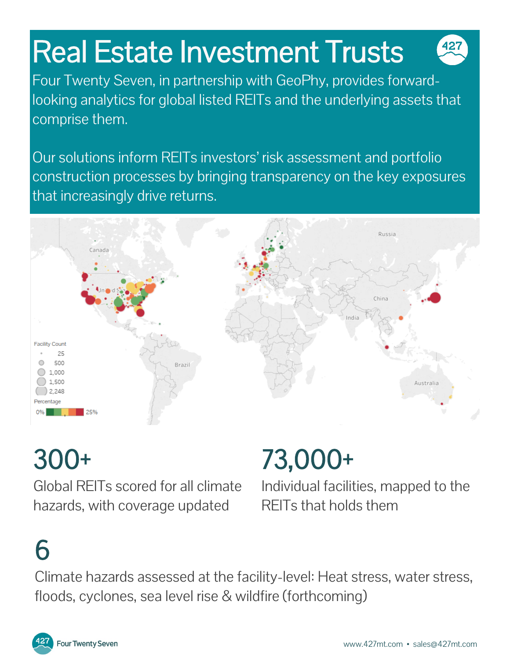# Real Estate Investment Trusts

Four Twenty Seven, in partnership with GeoPhy, provides forwardlooking analytics for global listed REITs and the underlying assets that comprise them.

Our solutions inform REITs investors' risk assessment and portfolio construction processes by bringing transparency on the key exposures that increasingly drive returns.



## 300+

Global REITs scored for all climate hazards, with coverage updated

## 73,000+

Individual facilities, mapped to the REITs that holds them

## 6

Climate hazards assessed at the facility-level: Heat stress, water stress, floods, cyclones, sea level rise & wildfire (forthcoming)

427